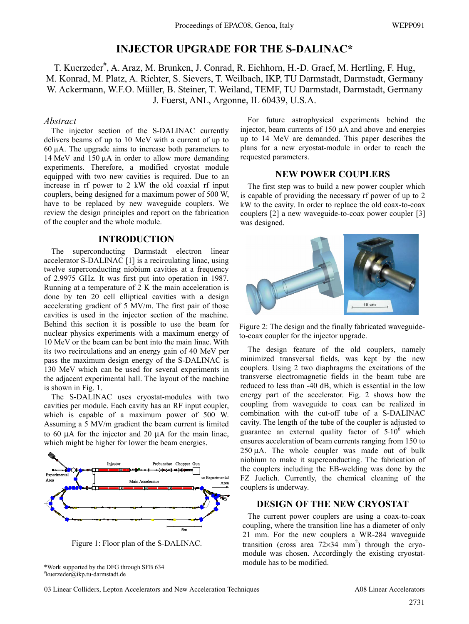# **INJECTOR UPGRADE FOR THE S-DALINAC\***

T. Kuerzeder<sup>#</sup>, A. Araz, M. Brunken, J. Conrad, R. Eichhorn, H.-D. Graef, M. Hertling, F. Hug, M. Konrad, M. Platz, A. Richter, S. Sievers, T. Weilbach, IKP, TU Darmstadt, Darmstadt, Germany W. Ackermann, W.F.O. Müller, B. Steiner, T. Weiland, TEMF, TU Darmstadt, Darmstadt, Germany J. Fuerst, ANL, Argonne, IL 60439, U.S.A.

### *Abstract*

The injector section of the S-DALINAC currently delivers beams of up to 10 MeV with a current of up to 60 µA. The upgrade aims to increase both parameters to 14 MeV and 150 µA in order to allow more demanding experiments. Therefore, a modified cryostat module equipped with two new cavities is required. Due to an increase in rf power to 2 kW the old coaxial rf input couplers, being designed for a maximum power of 500 W, have to be replaced by new waveguide couplers. We review the design principles and report on the fabrication of the coupler and the whole module.

#### **INTRODUCTION**

The superconducting Darmstadt electron linear accelerator S-DALINAC [1] is a recirculating linac, using twelve superconducting niobium cavities at a frequency of 2.9975 GHz. It was first put into operation in 1987. Running at a temperature of 2 K the main acceleration is done by ten 20 cell elliptical cavities with a design accelerating gradient of 5 MV/m. The first pair of those cavities is used in the injector section of the machine. Behind this section it is possible to use the beam for nuclear physics experiments with a maximum energy of 10 MeV or the beam can be bent into the main linac. With its two recirculations and an energy gain of 40 MeV per pass the maximum design energy of the S-DALINAC is 130 MeV which can be used for several experiments in the adjacent experimental hall. The layout of the machine is shown in Fig. 1.

The S-DALINAC uses cryostat-modules with two cavities per module. Each cavity has an RF input coupler, which is capable of a maximum power of 500 W. Assuming a 5 MV/m gradient the beam current is limited to 60 μA for the injector and 20 μA for the main linac, which might be higher for lower the beam energies.



Figure 1: Floor plan of the S-DALINAC.

\*Work supported by the DFG through SFB 634 # kuerzeder@ikp.tu-darmstadt.de

For future astrophysical experiments behind the injector, beam currents of 150 μA and above and energies up to 14 MeV are demanded. This paper describes the plans for a new cryostat-module in order to reach the requested parameters.

# **NEW POWER COUPLERS**

The first step was to build a new power coupler which is capable of providing the necessary rf power of up to 2 kW to the cavity. In order to replace the old coax-to-coax couplers [2] a new waveguide-to-coax power coupler [3] was designed.



Figure 2: The design and the finally fabricated waveguideto-coax coupler for the injector upgrade.

The design feature of the old couplers, namely minimized transversal fields, was kept by the new couplers. Using 2 two diaphragms the excitations of the transverse electromagnetic fields in the beam tube are reduced to less than -40 dB, which is essential in the low energy part of the accelerator. Fig. 2 shows how the coupling from waveguide to coax can be realized in combination with the cut-off tube of a S-DALINAC cavity. The length of the tube of the coupler is adjusted to guarantee an external quality factor of 5.10<sup>6</sup> which ensures acceleration of beam currents ranging from 150 to 250 μA. The whole coupler was made out of bulk niobium to make it superconducting. The fabrication of the couplers including the EB-welding was done by the FZ Juelich. Currently, the chemical cleaning of the couplers is underway.

## **DESIGN OF THE NEW CRYOSTAT**

The current power couplers are using a coax-to-coax coupling, where the transition line has a diameter of only 21 mm. For the new couplers a WR-284 waveguide transition (cross area  $72\times34$  mm<sup>2</sup>) through the cryomodule was chosen. Accordingly the existing cryostatmodule has to be modified.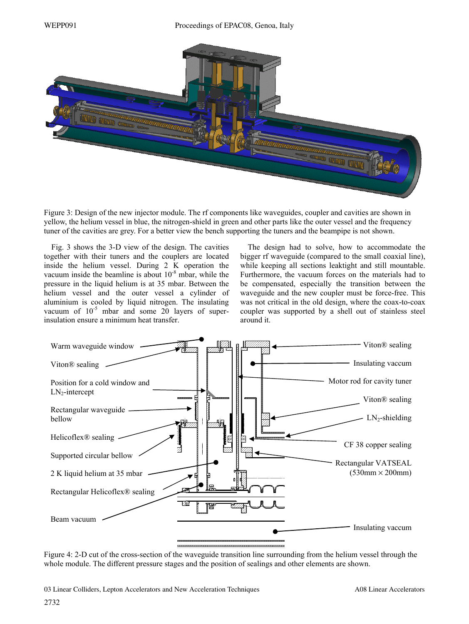#### WEPP091 Proceedings of EPAC08, Genoa, Italy



Figure 3: Design of the new injector module. The rf components like waveguides, coupler and cavities are shown in yellow, the helium vessel in blue, the nitrogen-shield in green and other parts like the outer vessel and the frequency tuner of the cavities are grey. For a better view the bench supporting the tuners and the beampipe is not shown.

Fig. 3 shows the 3-D view of the design. The cavities together with their tuners and the couplers are located inside the helium vessel. During 2 K operation the vacuum inside the beamline is about  $10^{-8}$  mbar, while the pressure in the liquid helium is at 35 mbar. Between the helium vessel and the outer vessel a cylinder of aluminium is cooled by liquid nitrogen. The insulating vacuum of  $10^{-5}$  mbar and some 20 layers of superinsulation ensure a minimum heat transfer.

The design had to solve, how to accommodate the bigger rf waveguide (compared to the small coaxial line), while keeping all sections leaktight and still mountable. Furthermore, the vacuum forces on the materials had to be compensated, especially the transition between the waveguide and the new coupler must be force-free. This was not critical in the old design, where the coax-to-coax coupler was supported by a shell out of stainless steel around it.



Figure 4: 2-D cut of the cross-section of the waveguide transition line surrounding from the helium vessel through the whole module. The different pressure stages and the position of sealings and other elements are shown.